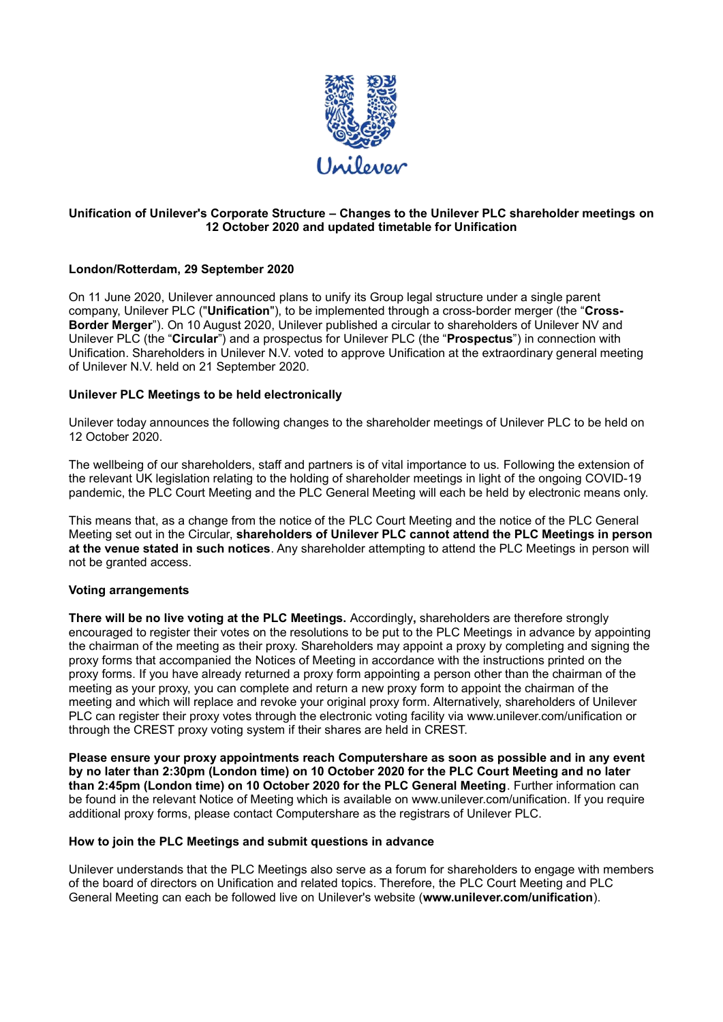

# **Unification of Unilever's Corporate Structure – Changes to the Unilever PLC shareholder meetings on 12 October 2020 and updated timetable for Unification**

# **London/Rotterdam, 29 September 2020**

On 11 June 2020, Unilever announced plans to unify its Group legal structure under a single parent company, Unilever PLC ("**Unification**"), to be implemented through a cross-border merger (the "**Cross-Border Merger**"). On 10 August 2020, Unilever published a circular to shareholders of Unilever NV and Unilever PLC (the "**Circular**") and a prospectus for Unilever PLC (the "**Prospectus**") in connection with Unification. Shareholders in Unilever N.V. voted to approve Unification at the extraordinary general meeting of Unilever N.V. held on 21 September 2020.

### **Unilever PLC Meetings to be held electronically**

Unilever today announces the following changes to the shareholder meetings of Unilever PLC to be held on 12 October 2020.

The wellbeing of our shareholders, staff and partners is of vital importance to us. Following the extension of the relevant UK legislation relating to the holding of shareholder meetings in light of the ongoing COVID-19 pandemic, the PLC Court Meeting and the PLC General Meeting will each be held by electronic means only.

This means that, as a change from the notice of the PLC Court Meeting and the notice of the PLC General Meeting set out in the Circular, **shareholders of Unilever PLC cannot attend the PLC Meetings in person at the venue stated in such notices**. Any shareholder attempting to attend the PLC Meetings in person will not be granted access.

# **Voting arrangements**

**There will be no live voting at the PLC Meetings.** Accordingly**,** shareholders are therefore strongly encouraged to register their votes on the resolutions to be put to the PLC Meetings in advance by appointing the chairman of the meeting as their proxy. Shareholders may appoint a proxy by completing and signing the proxy forms that accompanied the Notices of Meeting in accordance with the instructions printed on the proxy forms. If you have already returned a proxy form appointing a person other than the chairman of the meeting as your proxy, you can complete and return a new proxy form to appoint the chairman of the meeting and which will replace and revoke your original proxy form. Alternatively, shareholders of Unilever PLC can register their proxy votes through the electronic voting facility via [www.unilever.com/unification](http://www.unilever.com/unification) or through the CREST proxy voting system if their shares are held in CREST.

**Please ensure your proxy appointments reach Computershare as soon as possible and in any event by no later than 2:30pm (London time) on 10 October 2020 for the PLC Court Meeting and no later than 2:45pm (London time) on 10 October 2020 for the PLC General Meeting**. Further information can be found in the relevant Notice of Meeting which is available on [www.unilever.com/unification.](http://www.unilever.com/unification) If you require additional proxy forms, please contact Computershare as the registrars of Unilever PLC.

## **How to join the PLC Meetings and submit questions in advance**

Unilever understands that the PLC Meetings also serve as a forum for shareholders to engage with members of the board of directors on Unification and related topics. Therefore, the PLC Court Meeting and PLC General Meeting can each be followed live on Unilever's website (**www.unilever.com/unification**).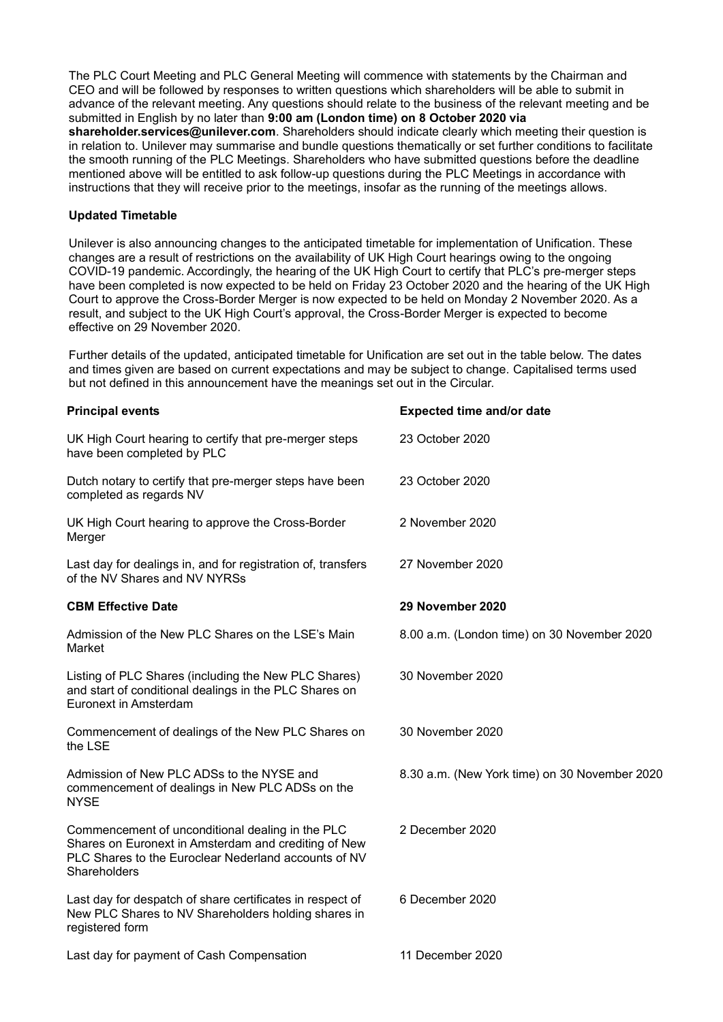The PLC Court Meeting and PLC General Meeting will commence with statements by the Chairman and CEO and will be followed by responses to written questions which shareholders will be able to submit in advance of the relevant meeting. Any questions should relate to the business of the relevant meeting and be submitted in English by no later than **9:00 am (London time) on 8 October 2020 via shareholder.services@unilever.com**. Shareholders should indicate clearly which meeting their question is in relation to. Unilever may summarise and bundle questions thematically or set further conditions to facilitate the smooth running of the PLC Meetings. Shareholders who have submitted questions before the deadline mentioned above will be entitled to ask follow-up questions during the PLC Meetings in accordance with instructions that they will receive prior to the meetings, insofar as the running of the meetings allows.

## **Updated Timetable**

Unilever is also announcing changes to the anticipated timetable for implementation of Unification. These changes are a result of restrictions on the availability of UK High Court hearings owing to the ongoing COVID-19 pandemic. Accordingly, the hearing of the UK High Court to certify that PLC's pre-merger steps have been completed is now expected to be held on Friday 23 October 2020 and the hearing of the UK High Court to approve the Cross-Border Merger is now expected to be held on Monday 2 November 2020. As a result, and subject to the UK High Court's approval, the Cross-Border Merger is expected to become effective on 29 November 2020.

Further details of the updated, anticipated timetable for Unification are set out in the table below. The dates and times given are based on current expectations and may be subject to change. Capitalised terms used but not defined in this announcement have the meanings set out in the Circular.

| <b>Principal events</b>                                                                                                                                                          | <b>Expected time and/or date</b>              |
|----------------------------------------------------------------------------------------------------------------------------------------------------------------------------------|-----------------------------------------------|
| UK High Court hearing to certify that pre-merger steps<br>have been completed by PLC                                                                                             | 23 October 2020                               |
| Dutch notary to certify that pre-merger steps have been<br>completed as regards NV                                                                                               | 23 October 2020                               |
| UK High Court hearing to approve the Cross-Border<br>Merger                                                                                                                      | 2 November 2020                               |
| Last day for dealings in, and for registration of, transfers<br>of the NV Shares and NV NYRSs                                                                                    | 27 November 2020                              |
| <b>CBM Effective Date</b>                                                                                                                                                        | 29 November 2020                              |
| Admission of the New PLC Shares on the LSE's Main<br>Market                                                                                                                      | 8.00 a.m. (London time) on 30 November 2020   |
| Listing of PLC Shares (including the New PLC Shares)<br>and start of conditional dealings in the PLC Shares on<br>Euronext in Amsterdam                                          | 30 November 2020                              |
| Commencement of dealings of the New PLC Shares on<br>the LSE                                                                                                                     | 30 November 2020                              |
| Admission of New PLC ADSs to the NYSE and<br>commencement of dealings in New PLC ADSs on the<br><b>NYSE</b>                                                                      | 8.30 a.m. (New York time) on 30 November 2020 |
| Commencement of unconditional dealing in the PLC<br>Shares on Euronext in Amsterdam and crediting of New<br>PLC Shares to the Euroclear Nederland accounts of NV<br>Shareholders | 2 December 2020                               |
| Last day for despatch of share certificates in respect of<br>New PLC Shares to NV Shareholders holding shares in<br>registered form                                              | 6 December 2020                               |
| Last day for payment of Cash Compensation                                                                                                                                        | 11 December 2020                              |